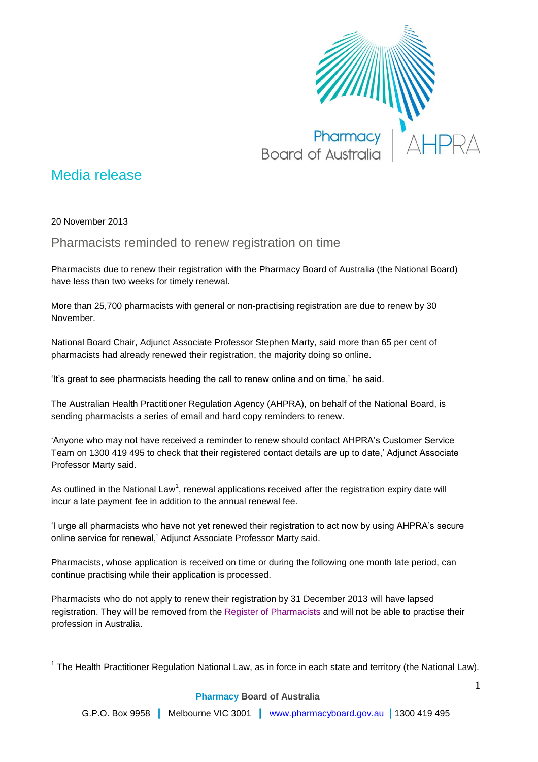

## Media release

20 November 2013

Pharmacists reminded to renew registration on time

Pharmacists due to renew their registration with the Pharmacy Board of Australia (the National Board) have less than two weeks for timely renewal.

More than 25,700 pharmacists with general or non-practising registration are due to renew by 30 November.

National Board Chair, Adjunct Associate Professor Stephen Marty, said more than 65 per cent of pharmacists had already renewed their registration, the majority doing so online.

'It's great to see pharmacists heeding the call to renew online and on time,' he said.

The Australian Health Practitioner Regulation Agency (AHPRA), on behalf of the National Board, is sending pharmacists a series of email and hard copy reminders to renew.

'Anyone who may not have received a reminder to renew should contact AHPRA's Customer Service Team on 1300 419 495 to check that their registered contact details are up to date,' Adjunct Associate Professor Marty said.

As outlined in the National Law<sup>1</sup>, renewal applications received after the registration expiry date will incur a late payment fee in addition to the annual renewal fee.

'I urge all pharmacists who have not yet renewed their registration to act now by using AHPRA's secure online service for renewal,' Adjunct Associate Professor Marty said.

Pharmacists, whose application is received on time or during the following one month late period, can continue practising while their application is processed.

Pharmacists who do not apply to renew their registration by 31 December 2013 will have lapsed registration. They will be removed from the [Register of Pharmacists](http://www.ahpra.gov.au/Registration/Registers-of-Practitioners.aspx) and will not be able to practise their profession in Australia.

 $\overline{\phantom{a}}$ <sup>1</sup> The Health Practitioner Regulation National Law, as in force in each state and territory (the National Law).